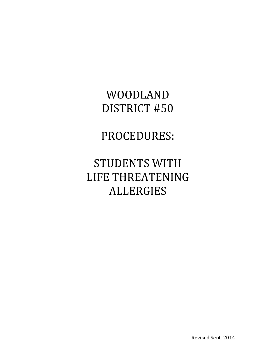# WOODLAND DISTRICT #50

## PROCEDURES:

# **STUDENTS WITH** LIFE THREATENING ALLERGIES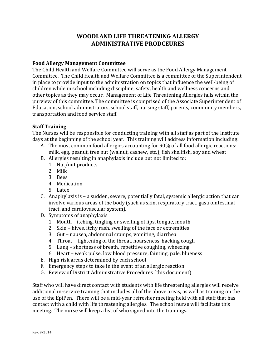## **WOODLAND LIFE THREATENING ALLERGY ADMINISTRATIVE PRODCEURES**

#### **Food Allergy Management Committee**

The Child Health and Welfare Committee will serve as the Food Allergy Management Committee. The Child Health and Welfare Committee is a committee of the Superintendent in place to provide input to the administration on topics that influence the well-being of children while in school including discipline, safety, health and wellness concerns and other topics as they may occur. Management of Life Threatening Allergies falls within the purview of this committee. The committee is comprised of the Associate Superintendent of Education, school administrators, school staff, nursing staff, parents, community members, transportation and food service staff.

#### **Staff Training**

The Nurses will be responsible for conducting training with all staff as part of the Institute days at the beginning of the school year. This training will address information including:

- A. The most common food allergies accounting for 90% of all food allergic reactions: milk, egg, peanut, tree nut (walnut, cashew, etc.), fish shellfish, soy and wheat
- B. Allergies resulting in anaphylaxis include but not limited to:
	- 1. Nut/nut products
	- 2. Milk
	- 3. Bees
	- 4. Medication
	- 5. Latex
- C. Anaphylaxis is  $-$  a sudden, severe, potentially fatal, systemic allergic action that can involve various areas of the body (such as skin, respiratory tract, gastrointestinal tract, and cardiovascular system).
- D. Symptoms of anaphylaxis
	- 1. Mouth itching, tingling or swelling of lips, tongue, mouth
	- 2. Skin hives, itchy rash, swelling of the face or extremities
	- 3. Gut nausea, abdominal cramps, vomiting, diarrhea
	- 4. Throat tightening of the throat, hoarseness, hacking cough
	- 5. Lung shortness of breath, repetitive coughing, wheezing
	- 6. Heart weak pulse, low blood pressure, fainting, pale, blueness
- E. High risk areas determined by each school
- F. Emergency steps to take in the event of an allergic reaction
- G. Review of District Administrative Procedures (this document)

Staff who will have direct contact with students with life threatening allergies will receive additional in-service training that includes all of the above areas, as well as training on the use of the EpiPen. There will be a mid-year refresher meeting held with all staff that has contact with a child with life threatening allergies. The school nurse will facilitate this meeting. The nurse will keep a list of who signed into the trainings.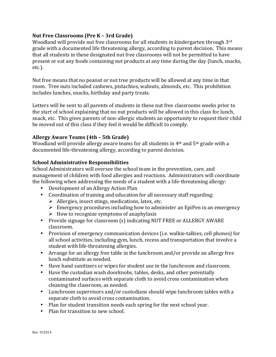## **Nut Free Classrooms (Pre K – 3rd Grade)**

Woodland will provide nut free classrooms for all students in kindergarten through  $3<sup>rd</sup>$ grade with a documented life threatening allergy, according to parent decision. This means that all students in these designated nut free classrooms will not be permitted to have present or eat any foods containing nut products at any time during the day (lunch, snacks, etc.).

Nut free means that no peanut or nut tree products will be allowed at any time in that room. Tree nuts included cashews, pistachios, walnuts, almonds, etc. This prohibition includes lunches, snacks, birthday and party treats.

Letters will be sent to all parents of students in these nut free classrooms weeks prior to the start of school explaining that no nut products will be allowed in this class for lunch, snack, etc. This gives parents of non-allergic students an opportunity to request their child be moved out of this class if they feel it would be difficult to comply.

## **Allergy Aware Teams (4th – 5th Grade)**

Woodland will provide allergy aware teams for all students in  $4<sup>th</sup>$  and  $5<sup>th</sup>$  grade with a documented life-threatening allergy, according to parent decision.

## **School Administrative Responsibilities**

School Administrators will oversee the school team in the prevention, care, and management of children with food allergies and reactions. Administrators will coordinate the following when addressing the needs of a student with a life-threatening allergy:

- Development of an Allergy Action Plan
- Coordination of training and education for all necessary staff regarding:
	- $\triangleright$  Allergies, insect stings, medications, latex, etc.
	- $\triangleright$  Emergency procedures including how to administer an EpiPen in an emergency
	- $\triangleright$  How to recognize symptoms of anaphylaxis
- Provide signage for classroom (s) indicating NUT FREE or ALLERGY AWARE classroom.
- Provision of emergency communication devices (i.e. walkie-talkies, cell phones) for all school activities, including gym, lunch, recess and transportation that involve a student with life-threatening allergies.
- Arrange for an allergy free table in the lunchroom and/or provide an allergy free lunch substitute as needed.
- Have hand sanitizers or wipes for student use in the lunchroom and classroom.
- Have the custodian wash doorknobs, tables, desks, and other potentially contaminated surfaces with separate cloth to avoid cross contamination when cleaning the classroom, as needed.
- Lunchroom supervisors and/or custodians should wipe lunchroom tables with a separate cloth to avoid cross contamination.
- Plan for student transition needs each spring for the next school year.
- $\bullet$  Plan for transition to new school.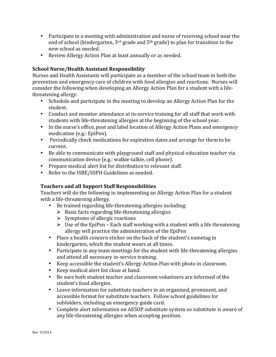- Participate in a meeting with administration and nurse of receiving school near the end of school (kindergarten,  $3<sup>rd</sup>$  grade and  $5<sup>th</sup>$  grade) to plan for transition to the new school as needed.
- Review Allergy Action Plan at least annually or as needed.

## **School Nurse/Health Assistant Responsibility**

Nurses and Health Assistants will participate as a member of the school team in both the prevention and emergency care of children with food allergies and reactions. Nurses will consider the following when developing an Allergy Action Plan for a student with a lifethreatening allergy.

- Schedule and participate in the meeting to develop an Allergy Action Plan for the student.
- Conduct and monitor attendance at in-service training for all staff that work with students with life-threatening allergies at the beginning of the school year.
- In the nurse's office, post and label location of Allergy Action Plans and emergency medication (e.g.: EpiPen).
- Periodically check medications for expiration dates and arrange for them to be current.
- Be able to communicate with playground staff and physical education teacher via communication device (e.g.: walkie-talkie, cell phone).
- Prepare medical alert list for distribution to relevant staff.
- Refer to the ISBE/IDPH Guidelines as needed.

## **Teachers and all Support Staff Responsibilities**

Teachers will do the following in implementing an Allergy Action Plan for a student with a life-threatening allergy.

- Be trained regarding life-threatening allergies including:
	- $\triangleright$  Basic facts regarding life-threatening allergies
	- $\triangleright$  Symptoms of allergic reactions
	- $\triangleright$  Use of the EpiPen Each staff working with a student with a life threatening allergy will practice the administration of the EpiPen
- Place a health concern sticker on the back of the student's nametag in kindergarten, which the student wears at all times.
- Participate in any team meetings for the student with life-threatening allergies and attend all necessary in-service training.
- Keep accessible the student's Allergy Action Plan with photo in classroom.
- Keep medical alert list close at hand.
- Be sure both student teacher and classroom volunteers are informed of the student's food allergies.
- Leave information for substitute teachers in an organized, prominent, and accessible format for substitute teachers. Follow school guidelines for subfolders, including an emergency guide card.
- Complete alert information on AESOP substitute system so substitute is aware of any life-threatening allergies when accepting position.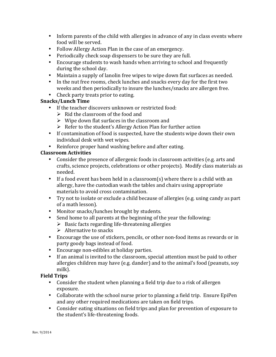- Inform parents of the child with allergies in advance of any in class events where food will be served.
- Follow Allergy Action Plan in the case of an emergency.
- Periodically check soap dispensers to be sure they are full.
- Encourage students to wash hands when arriving to school and frequently during the school day.
- Maintain a supply of lanolin free wipes to wipe down flat surfaces as needed.
- In the nut free rooms, check lunches and snacks every day for the first two weeks and then periodically to insure the lunches/snacks are allergen free.
- Check party treats prior to eating.

## **Snacks/Lunch Time**

- If the teacher discovers unknown or restricted food:
	- $\triangleright$  Rid the classroom of the food and
	- $\triangleright$  Wipe down flat surfaces in the classroom and
	- $\triangleright$  Refer to the student's Allergy Action Plan for further action
- If contamination of food is suspected, have the students wipe down their own individual desk with wet wipes.
- Reinforce proper hand washing before and after eating.

## **Classroom Activities**

- Consider the presence of allergenic foods in classroom activities (e.g. arts and crafts, science projects, celebrations or other projects). Modify class materials as needed.
- If a food event has been held in a classroom(s) where there is a child with an allergy, have the custodian wash the tables and chairs using appropriate materials to avoid cross contamination.
- Try not to isolate or exclude a child because of allergies (e.g. using candy as part of a math lesson).
- Monitor snacks/lunches brought by students.
- Send home to all parents at the beginning of the year the following:
	- $\triangleright$  Basic facts regarding life-threatening allergies
	- $\triangleright$  Alternative to snacks
- Encourage the use of stickers, pencils, or other non-food items as rewards or in party goody bags instead of food.
- Encourage non-edibles at holiday parties.
- If an animal is invited to the classroom, special attention must be paid to other allergies children may have  $(e.g.$  dander) and to the animal's food (peanuts, soy milk).

## **Field Trips**

- Consider the student when planning a field trip due to a risk of allergen exposure.
- Collaborate with the school nurse prior to planning a field trip. Ensure EpiPen and any other required medications are taken on field trips.
- Consider eating situations on field trips and plan for prevention of exposure to the student's life-threatening foods.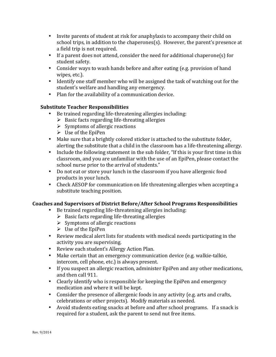- Invite parents of student at risk for anaphylaxis to accompany their child on school trips, in addition to the chaperones(s). However, the parent's presence at a field trip is not required.
- If a parent does not attend, consider the need for additional chaperone(s) for student safety.
- Consider ways to wash hands before and after eating (e.g. provision of hand wipes, etc.).
- Identify one staff member who will be assigned the task of watching out for the student's welfare and handling any emergency.
- Plan for the availability of a communication device.

## **Substitute Teacher Responsibilities**

- Be trained regarding life-threatening allergies including:
	- $\triangleright$  Basic facts regarding life-threating allergies
	- $\triangleright$  Symptoms of allergic reactions
	- $\triangleright$  Use of the EpiPen
- Make sure that a brightly colored sticker is attached to the substitute folder, alerting the substitute that a child in the classroom has a life-threatening allergy.
- Include the following statement in the sub folder, "If this is your first time in this classroom, and you are unfamiliar with the use of an EpiPen, please contact the school nurse prior to the arrival of students."
- Do not eat or store your lunch in the classroom if you have allergenic food products in your lunch.
- Check AESOP for communication on life threatening allergies when accepting a substitute teaching position.

## Coaches and Supervisors of District Before/After School Programs Responsibilities

- Be trained regarding life-threatening allergies including:
	- $\triangleright$  Basic facts regarding life-threating allergies
	- $\triangleright$  Symptoms of allergic reactions
	- $\triangleright$  Use of the EpiPen
- Review medical alert lists for students with medical needs participating in the activity you are supervising.
- Review each student's Allergy Action Plan.
- Make certain that an emergency communication device (e.g. walkie-talkie, intercom, cell phone, etc.) is always present.
- If you suspect an allergic reaction, administer EpiPen and any other medications, and then call 911.
- Clearly identify who is responsible for keeping the EpiPen and emergency medication and where it will be kept.
- Consider the presence of allergenic foods in any activity (e.g. arts and crafts, celebrations or other projects). Modify materials as needed.
- Avoid students eating snacks at before and after school programs. If a snack is required for a student, ask the parent to send nut free items.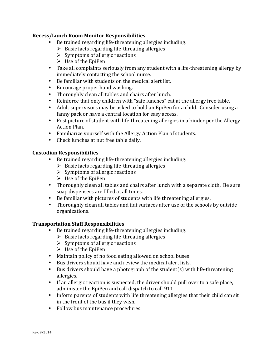#### **Recess/Lunch Room Monitor Responsibilities**

- Be trained regarding life-threatening allergies including:
	- $\triangleright$  Basic facts regarding life-threating allergies
	- $\triangleright$  Symptoms of allergic reactions
	- $\triangleright$  Use of the EpiPen
- Take all complaints seriously from any student with a life-threatening allergy by immediately contacting the school nurse.
- Be familiar with students on the medical alert list.
- Encourage proper hand washing.
- Thoroughly clean all tables and chairs after lunch.
- Reinforce that only children with "safe lunches" eat at the allergy free table.
- Adult supervisors may be asked to hold an EpiPen for a child. Consider using a fanny pack or have a central location for easy access.
- Post picture of student with life-threatening allergies in a binder per the Allergy Action Plan.
- Familiarize yourself with the Allergy Action Plan of students.
- Check lunches at nut free table daily.

## **Custodian Responsibilities**

- Be trained regarding life-threatening allergies including:
	- $\triangleright$  Basic facts regarding life-threating allergies
	- $\triangleright$  Symptoms of allergic reactions
	- $\triangleright$  Use of the EpiPen
- Thoroughly clean all tables and chairs after lunch with a separate cloth. Be sure soap dispensers are filled at all times.
- Be familiar with pictures of students with life threatening allergies.
- Thoroughly clean all tables and flat surfaces after use of the schools by outside organizations.

## **Transportation Staff Responsibilities**

- Be trained regarding life-threatening allergies including:
	- $\triangleright$  Basic facts regarding life-threating allergies
	- $\triangleright$  Symptoms of allergic reactions
	- $\triangleright$  Use of the EpiPen
- Maintain policy of no food eating allowed on school buses
- Bus drivers should have and review the medical alert lists.
- Bus drivers should have a photograph of the student(s) with life-threatening allergies.
- If an allergic reaction is suspected, the driver should pull over to a safe place, administer the EpiPen and call dispatch to call 911.
- Inform parents of students with life threatening allergies that their child can sit in the front of the bus if they wish.
- Follow bus maintenance procedures.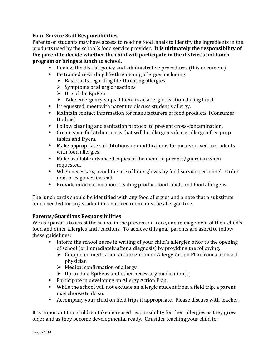## **Food Service Staff Responsibilities**

Parents or students may have access to reading food labels to identify the ingredients in the products used by the school's food service provider. It is ultimately the responsibility of the parent to decide whether the child will participate in the district's hot lunch **program or brings a lunch to school.** 

- Review the district policy and administrative procedures (this document)
- Be trained regarding life-threatening allergies including:
	- $\triangleright$  Basic facts regarding life-threating allergies
	- $\triangleright$  Symptoms of allergic reactions
	- $\triangleright$  Use of the EpiPen
	- $\triangleright$  Take emergency steps if there is an allergic reaction during lunch
- If requested, meet with parent to discuss student's allergy.
- Maintain contact information for manufacturers of food products. (Consumer Hotline)
- Follow cleaning and sanitation protocol to prevent cross-contamination.
- Create specific kitchen areas that will be allergen safe e.g. allergen free prep tables and fryers.
- Make appropriate substitutions or modifications for meals served to students with food allergies.
- Make available advanced copies of the menu to parents/guardian when requested.
- When necessary, avoid the use of latex gloves by food service personnel. Order non-latex gloves instead.
- Provide information about reading product food labels and food allergens.

The lunch cards should be identified with any food allergies and a note that a substitute lunch needed for any student in a nut free room must be allergen free.

## **Parents/Guardians Responsibilities**

We ask parents to assist the school in the prevention, care, and management of their child's food and other allergies and reactions. To achieve this goal, parents are asked to follow these guidelines:

- Inform the school nurse in writing of your child's allergies prior to the opening of school (or immediately after a diagnosis) by providing the following:
	- $\triangleright$  Completed medication authorization or Allergy Action Plan from a licensed physician
	- $\triangleright$  Medical confirmation of allergy
	- $\triangleright$  Up-to-date EpiPens and other necessary medication(s)
- Participate in developing an Allergy Action Plan.
- While the school will not exclude an allergic student from a field trip, a parent may choose to do so.
- Accompany your child on field trips if appropriate. Please discuss with teacher.

It is important that children take increased responsibility for their allergies as they grow older and as they become developmental ready. Consider teaching your child to: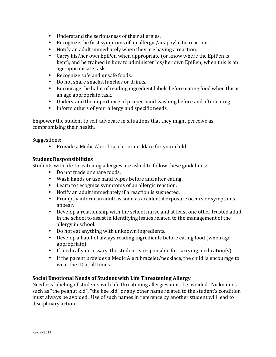- Understand the seriousness of their allergies.
- Recognize the first symptoms of an allergic/anaphylactic reaction.
- Notify an adult immediately when they are having a reaction.
- Carry his/her own EpiPen when appropriate (or know where the EpiPen is kept), and be trained in how to administer his/her own EpiPen, when this is an age-appropriate task.
- Recognize safe and unsafe foods.
- Do not share snacks, lunches or drinks.
- Encourage the habit of reading ingredient labels before eating food when this is an age appropriate task.
- Understand the importance of proper hand washing before and after eating.
- Inform others of your allergy and specific needs.

Empower the student to self-advocate in situations that they might perceive as compromising their health.

Suggestions: 

• Provide a Medic Alert bracelet or necklace for your child.

## **Student Responsibilities**

Students with life-threatening allergies are asked to follow these guidelines:

- Do not trade or share foods.
- Wash hands or use hand wipes before and after eating.
- Learn to recognize symptoms of an allergic reaction.
- Notify an adult immediately if a reaction is suspected.
- Promptly inform an adult as soon as accidental exposure occurs or symptoms appear.
- Develop a relationship with the school nurse and at least one other trusted adult in the school to assist in identifying issues related to the management of the allergy in school.
- Do not eat anything with unknown ingredients.
- Develop a habit of always reading ingredients before eating food (when age appropriate).
- If medically necessary, the student is responsible for carrying medication(s).
- $\bullet$  If the parent provides a Medic Alert bracelet/necklace, the child is encourage to wear the ID at all times.

## **Social Emotional Needs of Student with Life Threatening Allergy**

Needless labeling of students with life threatening allergies must be avoided. Nicknames such as "the peanut kid", "the bee kid" or any other name related to the student's condition must always be avoided. Use of such names in reference by another student will lead to disciplinary action.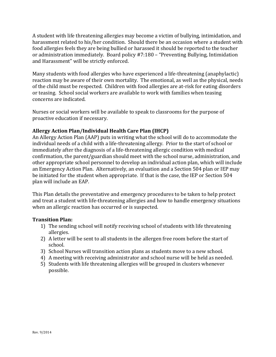A student with life threatening allergies may become a victim of bullying, intimidation, and harassment related to his/her condition. Should there be an occasion where a student with food allergies feels they are being bullied or harassed it should be reported to the teacher or administration immediately. Board policy #7:180 – "Preventing Bullying, Intimidation and Harassment" will be strictly enforced.

Many students with food allergies who have experienced a life-threatening (anaphylactic) reaction may be aware of their own mortality. The emotional, as well as the physical, needs of the child must be respected. Children with food allergies are at-risk for eating disorders or teasing. School social workers are available to work with families when teasing concerns are indicated.

Nurses or social workers will be available to speak to classrooms for the purpose of proactive education if necessary.

## **Allergy Action Plan/Individual Health Care Plan (IHCP)**

An Allergy Action Plan (AAP) puts in writing what the school will do to accommodate the individual needs of a child with a life-threatening allergy. Prior to the start of school or immediately after the diagnosis of a life-threatening allergic condition with medical confirmation, the parent/guardian should meet with the school nurse, administration, and other appropriate school personnel to develop an individual action plan, which will include an Emergency Action Plan. Alternatively, an evaluation and a Section 504 plan or IEP may be initiated for the student when appropriate. If that is the case, the IEP or Section 504 plan will include an EAP.

This Plan details the preventative and emergency procedures to be taken to help protect and treat a student with life-threatening allergies and how to handle emergency situations when an allergic reaction has occurred or is suspected.

## **Transition Plan:**

- 1) The sending school will notify receiving school of students with life threatening allergies.
- 2) A letter will be sent to all students in the allergen free room before the start of school.
- 3) School Nurses will transition action plans as students move to a new school.
- 4) A meeting with receiving administrator and school nurse will be held as needed.
- 5) Students with life threatening allergies will be grouped in clusters whenever possible.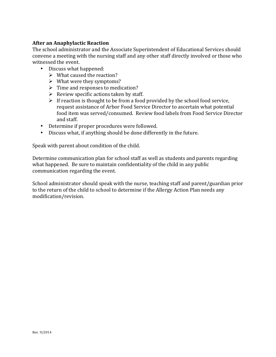## **After an Anaphylactic Reaction**

The school administrator and the Associate Superintendent of Educational Services should convene a meeting with the nursing staff and any other staff directly involved or those who witnessed the event.

- Discuss what happened:
	- $\triangleright$  What caused the reaction?
	- $\triangleright$  What were they symptoms?
	- $\triangleright$  Time and responses to medication?
	- $\triangleright$  Review specific actions taken by staff.
	- $\triangleright$  If reaction is thought to be from a food provided by the school food service, request assistance of Arbor Food Service Director to ascertain what potential food item was served/consumed. Review food labels from Food Service Director and staff.
- Determine if proper procedures were followed.
- Discuss what, if anything should be done differently in the future.

Speak with parent about condition of the child.

Determine communication plan for school staff as well as students and parents regarding what happened. Be sure to maintain confidentiality of the child in any public communication regarding the event.

School administrator should speak with the nurse, teaching staff and parent/guardian prior to the return of the child to school to determine if the Allergy Action Plan needs any modification/revision.